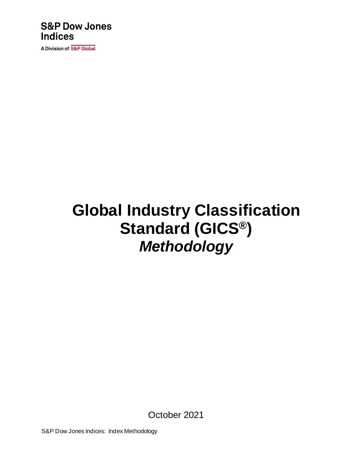### **S&P Dow Jones Indices**

A Division of S&P Global

# **Global Industry Classification Standard (GICS®)** *Methodology*

October 2021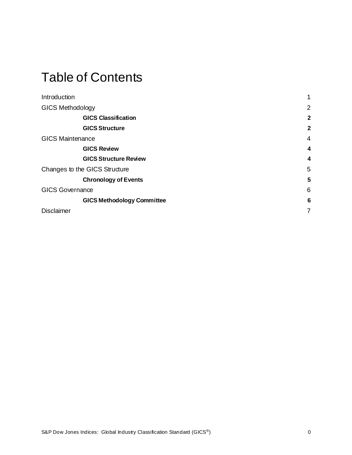### Table of Contents

| Introduction                  |                                   | 1              |
|-------------------------------|-----------------------------------|----------------|
| <b>GICS Methodology</b>       |                                   | $\overline{2}$ |
|                               | <b>GICS Classification</b>        | $\mathbf{2}$   |
|                               | <b>GICS Structure</b>             | $\overline{2}$ |
| <b>GICS Maintenance</b>       |                                   | $\overline{4}$ |
|                               | <b>GICS Review</b>                | 4              |
|                               | <b>GICS Structure Review</b>      | 4              |
| Changes to the GICS Structure |                                   | 5              |
|                               | <b>Chronology of Events</b>       | 5              |
| <b>GICS Governance</b>        |                                   | 6              |
|                               | <b>GICS Methodology Committee</b> | 6              |
| <b>Disclaimer</b>             |                                   | 7              |
|                               |                                   |                |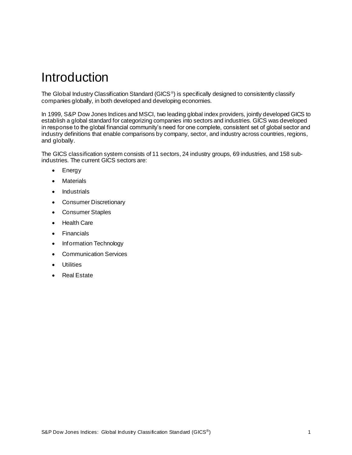### <span id="page-2-0"></span>Introduction

The Global Industry Classification Standard (GICS<sup>®</sup>) is specifically designed to consistently classify companies globally, in both developed and developing economies.

In 1999, S&P Dow Jones Indices and MSCI, two leading global index providers, jointly developed GICS to establish a global standard for categorizing companies into sectors and industries. GICS was developed in response to the global financial community's need for one complete, consistent set of global sector and industry definitions that enable comparisons by company, sector, and industry across countries, regions, and globally.

The GICS classification system consists of 11 sectors, 24 industry groups, 69 industries, and 158 subindustries. The current GICS sectors are:

- Energy
- Materials
- Industrials
- Consumer Discretionary
- Consumer Staples
- Health Care
- Financials
- Information Technology
- Communication Services
- Utilities
- Real Estate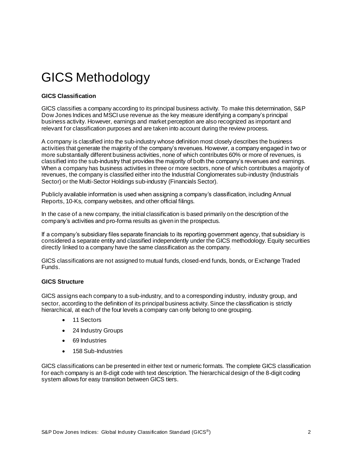## <span id="page-3-0"></span>GICS Methodology

#### <span id="page-3-1"></span>**GICS Classification**

GICS classifies a company according to its principal business activity. To make this determination, S&P Dow Jones Indices and MSCI use revenue as the key measure identifying a company's principal business activity. However, earnings and market perception are also recognized as important and relevant for classification purposes and are taken into account during the review process.

A company is classified into the sub-industry whose definition most closely describes the business activities that generate the majority of the company's revenues. However, a company engaged in two or more substantially different business activities, none of which contributes 60% or more of revenues, is classified into the sub-industry that provides the majority of both the company's revenues and earnings. When a company has business activities in three or more sectors, none of which contributes a majority of revenues, the company is classified either into the Industrial Conglomerates sub-industry (Industrials Sector) or the Multi-Sector Holdings sub-industry (Financials Sector).

Publicly available information is used when assigning a company's classification, including Annual Reports, 10-Ks, company websites, and other official filings.

In the case of a new company, the initial classification is based primarily on the description of the company's activities and pro-forma results as given in the prospectus.

If a company's subsidiary files separate financials to its reporting government agency, that subsidiary is considered a separate entity and classified independently under the GICS methodology. Equity securities directly linked to a company have the same classification as the company.

GICS classifications are not assigned to mutual funds, closed-end funds, bonds, or Exchange Traded Funds.

#### <span id="page-3-2"></span>**GICS Structure**

GICS assigns each company to a sub-industry, and to a corresponding industry, industry group, and sector, according to the definition of its principal business activity. Since the classification is strictly hierarchical, at each of the four levels a company can only belong to one grouping.

- 11 Sectors
- 24 Industry Groups
- 69 Industries
- 158 Sub-Industries

GICS classifications can be presented in either text or numeric formats. The complete GICS classification for each company is an 8-digit code with text description. The hierarchical design of the 8-digit coding system allows for easy transition between GICS tiers.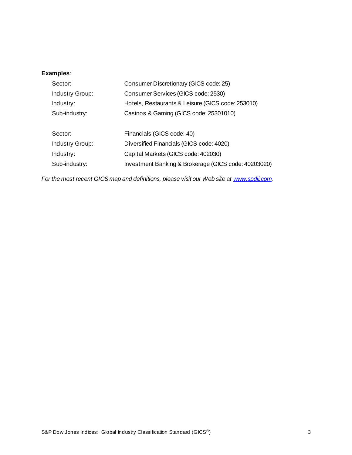#### **Examples**:

| Sector:                | Consumer Discretionary (GICS code: 25)               |
|------------------------|------------------------------------------------------|
| <b>Industry Group:</b> | Consumer Services (GICS code: 2530)                  |
| Industry:              | Hotels, Restaurants & Leisure (GICS code: 253010)    |
| Sub-industry:          | Casinos & Gaming (GICS code: 25301010)               |
|                        |                                                      |
| Sector:                | Financials (GICS code: 40)                           |
| <b>Industry Group:</b> | Diversified Financials (GICS code: 4020)             |
| Industry:              | Capital Markets (GICS code: 402030)                  |
| Sub-industry:          | Investment Banking & Brokerage (GICS code: 40203020) |

*For the most recent GICS map and definitions, please visit our Web site a[t www.spdji.com](https://us.spindices.com/documents/index-policies/2018-gics-changes.xlsx?force_download=true).*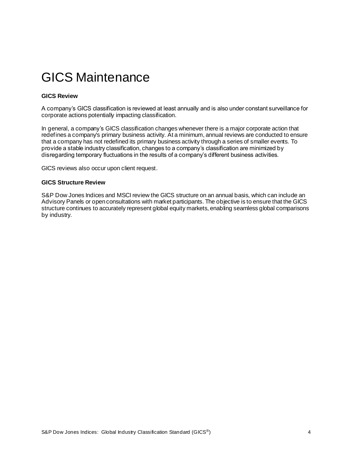### <span id="page-5-0"></span>GICS Maintenance

#### <span id="page-5-1"></span>**GICS Review**

A company's GICS classification is reviewed at least annually and is also under constant surveillance for corporate actions potentially impacting classification.

In general, a company's GICS classification changes whenever there is a major corporate action that redefines a company's primary business activity. At a minimum, annual reviews are conducted to ensure that a company has not redefined its primary business activity through a series of smaller events. To provide a stable industry classification, changes to a company's classification are minimized by disregarding temporary fluctuations in the results of a company's different business activities.

<span id="page-5-2"></span>GICS reviews also occur upon client request.

#### **GICS Structure Review**

S&P Dow Jones Indices and MSCI review the GICS structure on an annual basis, which can include an Advisory Panels or open consultations with market participants. The objective is to ensure that the GICS structure continues to accurately represent global equity markets, enabling seamless global comparisons by industry.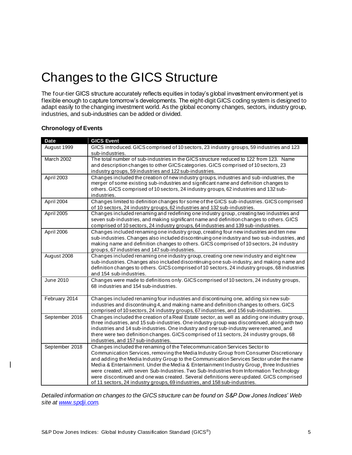### <span id="page-6-0"></span>Changes to the GICS Structure

The four-tier GICS structure accurately reflects equities in today's global investment environment yet is flexible enough to capture tomorrow's developments. The eight-digit GICS coding system is designed to adapt easily to the changing investment world. As the global economy changes, sectors, industry group, industries, and sub-industries can be added or divided.

| <b>Date</b>    | <b>GICS Event</b>                                                                                                                                                                                                                                                                                                                                                                                                                                                                                                                                                                                                           |
|----------------|-----------------------------------------------------------------------------------------------------------------------------------------------------------------------------------------------------------------------------------------------------------------------------------------------------------------------------------------------------------------------------------------------------------------------------------------------------------------------------------------------------------------------------------------------------------------------------------------------------------------------------|
| August 1999    | GICS introduced. GICS comprised of 10 sectors, 23 industry groups, 59 industries and 123<br>sub-industries.                                                                                                                                                                                                                                                                                                                                                                                                                                                                                                                 |
| March 2002     | The total number of sub-industries in the GICS structure reduced to 122 from 123. Name<br>and description changes to other GICS categories. GICS comprised of 10 sectors, 23<br>industry groups, 59 industries and 122 sub-industries.                                                                                                                                                                                                                                                                                                                                                                                      |
| April 2003     | Changes included the creation of new industry groups, industries and sub-industries, the<br>merger of some existing sub-industries and significant name and definition changes to<br>others. GICS comprised of 10 sectors, 24 industry groups, 62 industries and 132 sub-<br>industries.                                                                                                                                                                                                                                                                                                                                    |
| April 2004     | Changes limited to definition changes for some of the GICS sub-industries. GICS comprised<br>of 10 sectors, 24 industry groups, 62 industries and 132 sub-industries.                                                                                                                                                                                                                                                                                                                                                                                                                                                       |
| April 2005     | Changes included renaming and redefining one industry group, creating two industries and<br>seven sub-industries, and making significant name and definition changes to others. GICS<br>comprised of 10 sectors, 24 industry groups, 64 industries and 139 sub-industries.                                                                                                                                                                                                                                                                                                                                                  |
| April 2006     | Changes included renaming one industry group, creating four new industries and ten new<br>sub-industries. Changes also included discontinuing one industry and two sub-industries, and<br>making name and definition changes to others. GICS comprised of 10 sectors, 24 industry<br>groups, 67 industries and 147 sub-industries.                                                                                                                                                                                                                                                                                          |
| August 2008    | Changes included renaming one industry group, creating one new industry and eight new<br>sub-industries. Changes also included discontinuing one sub-industry, and making name and<br>definition changes to others. GICS comprised of 10 sectors, 24 industry groups, 68 industries<br>and 154 sub-industries.                                                                                                                                                                                                                                                                                                              |
| June 2010      | Changes were made to definitions only. GICS comprised of 10 sectors, 24 industry groups,<br>68 industries and 154 sub-industries.                                                                                                                                                                                                                                                                                                                                                                                                                                                                                           |
| February 2014  | Changes included renaming four industries and discontinuing one, adding sixnew sub-<br>industries and discontinuing 4, and making name and definition changes to others. GICS<br>comprised of 10 sectors, 24 industry groups, 67 industries, and 156 sub-industries.                                                                                                                                                                                                                                                                                                                                                        |
| September 2016 | Changes included the creation of a Real Estate sector, as well as adding one industry group,<br>three industries, and 15 sub-industries. One industry group was discontinued, along with two<br>industries and 14 sub-industries. One industry and one sub-industry were renamed, and<br>there were two definition changes. GICS comprised of 11 sectors, 24 industry groups, 68<br>industries, and 157 sub-industries.                                                                                                                                                                                                     |
| September 2018 | Changes included the renaming of the Telecommunication Services Sector to<br>Communication Services, removing the Media Industry Group from Consumer Discretionary<br>and adding the Media Industry Group to the Communication Services Sector under the name<br>Media & Entertainment. Under the Media & Entertainment Industry Group, three Industries<br>were created, with seven Sub-Industries. Two Sub-Industries from Information Technology<br>were discontinued and one was created. Several definitions were updated. GICS comprised<br>of 11 sectors, 24 industry groups, 69 industries, and 158 sub-industries. |

#### <span id="page-6-1"></span>**Chronology of Events**

*Detailed information on changes to the GICS structure can be found on S&P Dow Jones Indices' Web site a[t www.spdji.com](http://www.spdji.com/).*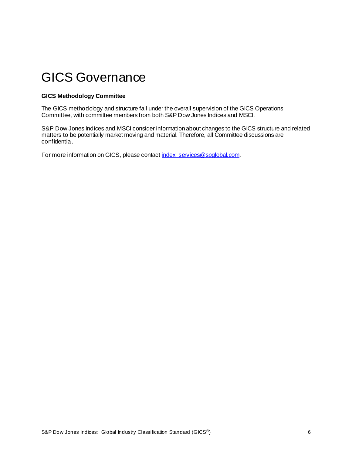### <span id="page-7-0"></span>GICS Governance

#### <span id="page-7-1"></span>**GICS Methodology Committee**

The GICS methodology and structure fall under the overall supervision of the GICS Operations Committee, with committee members from both S&P Dow Jones Indices and MSCI.

S&P Dow Jones Indices and MSCI consider information about changes to the GICS structure and related matters to be potentially market moving and material. Therefore, all Committee discussions are confidential.

For more information on GICS, please contact index\_services@spqlobal.com.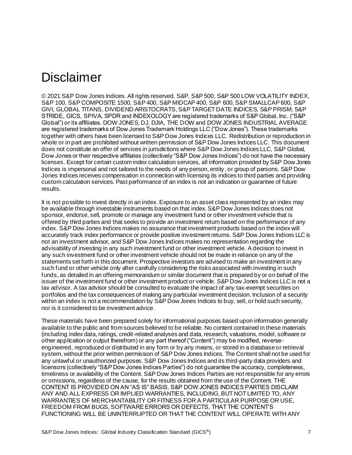### <span id="page-8-0"></span>**Disclaimer**

© 2021 S&P Dow Jones Indices. All rights reserved. S&P, S&P 500, S&P 500 LOW VOLATILITY INDEX, S&P 100, S&P COMPOSITE 1500, S&P 400, S&P MIDCAP 400, S&P 600, S&P SMALLCAP 600, S&P GIVI, GLOBAL TITANS, DIVIDEND ARISTOCRATS, S&P TARGET DATE INDICES, S&P PRISM, S&P STRIDE, GICS, SPIVA, SPDR and INDEXOLOGY are registered trademarks of S&P Global, Inc. ("S&P Global") or its affiliates. DOW JONES, DJ, DJIA, THE DOW and DOW JONES INDUSTRIAL AVERAGE are registered trademarks of Dow Jones Trademark Holdings LLC ("Dow Jones"). These trademarks together with others have been licensed to S&P Dow Jones Indices LLC. Redistribution or reproduction in whole or in part are prohibited without written permission of S&P Dow Jones Indices LLC. This document does not constitute an offer of services in jurisdictions where S&P Dow Jones Indices LLC, S&P Global, Dow Jones or their respective affiliates (collectively "S&P Dow Jones Indices") do not have the necessary licenses. Except for certain custom index calculation services, all information provided by S&P Dow Jones Indices is impersonal and not tailored to the needs of any person, entity, or group of persons. S&P Dow Jones Indices receives compensation in connection with licensing its indices to third parties and providing custom calculation services. Past performance of an index is not an indication or guarantee of future results.

It is not possible to invest directly in an index. Exposure to an asset class represented by an index may be available through investable instruments based on that index. S&P Dow Jones Indices does not sponsor, endorse, sell, promote or manage any investment fund or other investment vehicle that is offered by third parties and that seeks to provide an investment return based on the performance of any index. S&P Dow Jones Indices makes no assurance that investment products based on the index will accurately track index performance or provide positive investment returns. S&P Dow Jones Indices LLC is not an investment advisor, and S&P Dow Jones Indices makes no representation regarding the advisability of investing in any such investment fund or other investment vehicle. A decision to invest in any such investment fund or other investment vehicle should not be made in reliance on any of the statements set forth in this document. Prospective investors are advised to make an investment in any such fund or other vehicle only after carefully considering the risks associated with investing in such funds, as detailed in an offering memorandum or similar document that is prepared by or on behalf of the issuer of the investment fund or other investment product or vehicle. S&P Dow Jones Indices LLC is not a tax advisor. A tax advisor should be consulted to evaluate the impact of any tax-exempt securities on portfolios and the tax consequences of making any particular investment decision. Inclusion of a security within an index is not a recommendation by S&P Dow Jones Indices to buy, sell, or hold such security, nor is it considered to be investment advice.

These materials have been prepared solely for informational purposes based upon information generally available to the public and from sources believed to be reliable. No content contained in these materials (including index data, ratings, credit-related analyses and data, research, valuations, model, software or other application or output therefrom) or any part thereof ("Content") may be modified, reverseengineered, reproduced or distributed in any form or by any means, or stored in a database or retrieval system, without the prior written permission of S&P Dow Jones Indices. The Content shall not be used for any unlawful or unauthorized purposes. S&P Dow Jones Indices and its third-party data providers and licensors (collectively "S&P Dow Jones Indices Parties") do not guarantee the accuracy, completeness, timeliness or availability of the Content. S&P Dow Jones Indices Parties are not responsible for any errors or omissions, regardless of the cause, for the results obtained from the use of the Content. THE CONTENT IS PROVIDED ON AN "AS IS" BASIS. S&P DOW JONES INDICES PARTIES DISCLAIM ANY AND ALL EXPRESS OR IMPLIED WARRANTIES, INCLUDING, BUT NOT LIMITED TO, ANY WARRANTIES OF MERCHANTABILITY OR FITNESS FOR A PARTICULAR PURPOSE OR USE, FREEDOM FROM BUGS, SOFTWARE ERRORS OR DEFECTS, THAT THE CONTENTS FUNCTIONING WILL BE UNINTERRUPTED OR THAT THE CONTENT WILL OPERATE WITH ANY